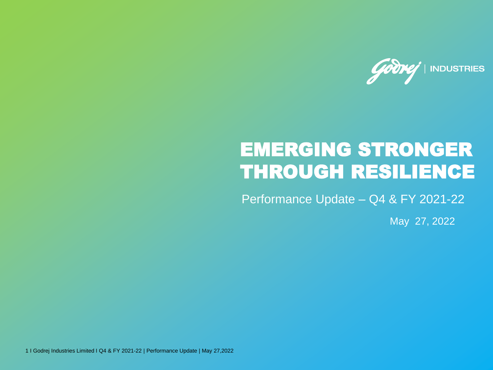

# EMERGING STRONGER THROUGH RESILIENCE

Performance Update – Q4 & FY 2021-22

May 27, 2022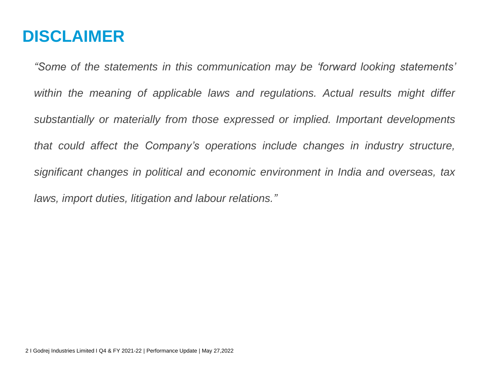## **DISCLAIMER**

*"Some of the statements in this communication may be 'forward looking statements' within the meaning of applicable laws and regulations. Actual results might differ substantially or materially from those expressed or implied. Important developments that could affect the Company's operations include changes in industry structure, significant changes in political and economic environment in India and overseas, tax laws, import duties, litigation and labour relations."*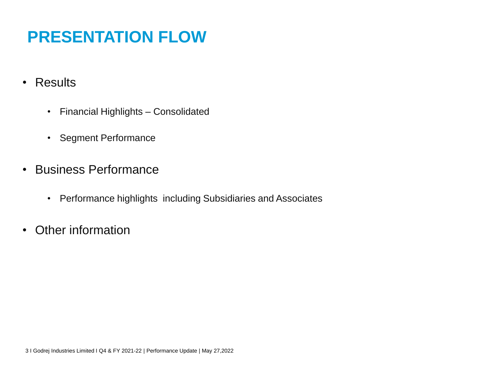# **PRESENTATION FLOW**

- Results
	- Financial Highlights Consolidated
	- Segment Performance
- Business Performance
	- Performance highlights including Subsidiaries and Associates
- Other information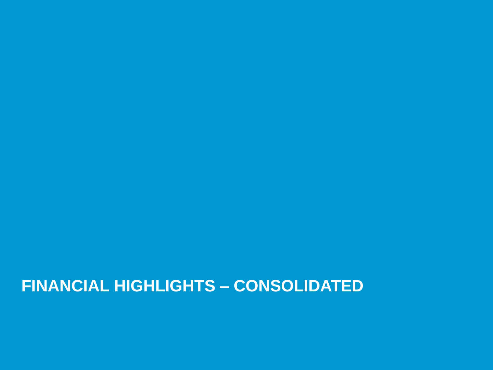## **FINANCIAL HIGHLIGHTS – CONSOLIDATED**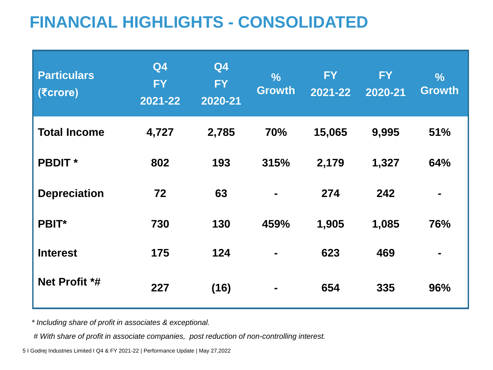# **FINANCIAL HIGHLIGHTS - CONSOLIDATED**

| <b>Particulars</b><br>$( \overline{\epsilon}$ crore) | Q4<br><b>FY</b><br>2021-22 | Q4<br><b>FY</b><br>2020-21 | $\frac{9}{6}$<br><b>Growth</b> | <b>FY</b><br>$2021 - 22$ | <b>FY</b><br>2020-21 | $\frac{0}{6}$<br><b>Growth</b> |
|------------------------------------------------------|----------------------------|----------------------------|--------------------------------|--------------------------|----------------------|--------------------------------|
| <b>Total Income</b>                                  | 4,727                      | 2,785                      | 70%                            | 15,065                   | 9,995                | 51%                            |
| <b>PBDIT</b> *                                       | 802                        | 193                        | 315%                           | 2,179                    | 1,327                | 64%                            |
| <b>Depreciation</b>                                  | 72                         | 63                         |                                | 274                      | 242                  |                                |
| <b>PBIT*</b>                                         | 730                        | 130                        | 459%                           | 1,905                    | 1,085                | 76%                            |
| <b>Interest</b>                                      | 175                        | 124                        |                                | 623                      | 469                  | ۰.                             |
| Net Profit *#                                        | 227                        | (16)                       | ۰                              | 654                      | 335                  | 96%                            |

*\* Including share of profit in associates & exceptional.*

*# With share of profit in associate companies, post reduction of non-controlling interest.*

5 I Godrej Industries Limited I Q4 & FY 2021-22 | Performance Update | May 27,2022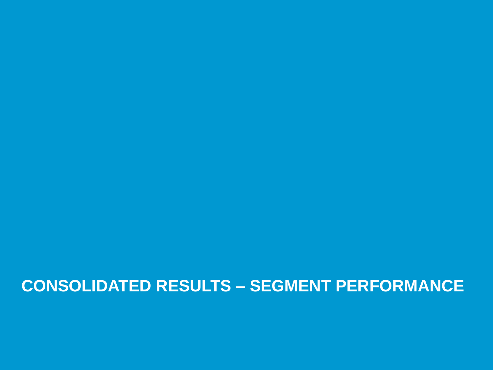## **CONSOLIDATED RESULTS – SEGMENT PERFORMANCE**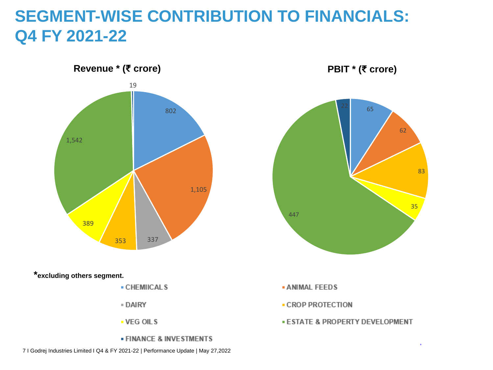## **SEGMENT-WISE CONTRIBUTION TO FINANCIALS: Q4 FY 2021-22**





**PBIT \* (₹ crore)**

**- ANIMAL FEEDS** 

- CROP PROTECTION

**ESTATE & PROPERTY DEVELOPMENT**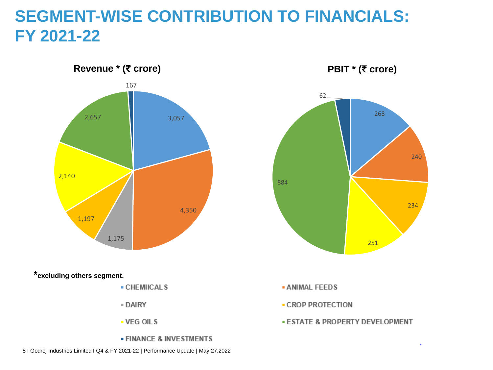## **SEGMENT-WISE CONTRIBUTION TO FINANCIALS: FY 2021-22**



**\*excluding others segment.**

- CHEMIICALS
- DAIRY
- VEG OILS
- **FINANCE & INVESTMENTS**

**PBIT \* (₹ crore)**

- **ANIMAL FEEDS**
- CROP PROTECTION
- **ESTATE & PROPERTY DEVELOPMENT**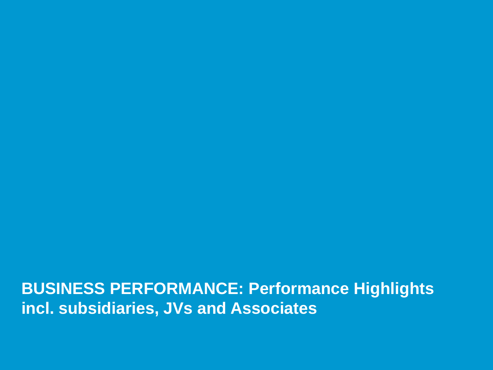**BUSINESS PERFORMANCE: Performance Highlights incl. subsidiaries, JVs and Associates**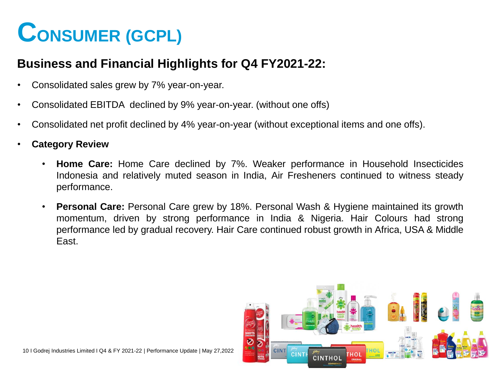# **CONSUMER (GCPL)**

#### **Business and Financial Highlights for Q4 FY2021-22:**

- Consolidated sales grew by 7% year-on-year.
- Consolidated EBITDA declined by 9% year-on-year. (without one offs)
- Consolidated net profit declined by 4% year-on-year (without exceptional items and one offs).
- **Category Review**
	- **Home Care:** Home Care declined by 7%. Weaker performance in Household Insecticides Indonesia and relatively muted season in India, Air Fresheners continued to witness steady performance.
	- **Personal Care:** Personal Care grew by 18%. Personal Wash & Hygiene maintained its growth momentum, driven by strong performance in India & Nigeria. Hair Colours had strong performance led by gradual recovery. Hair Care continued robust growth in Africa, USA & Middle East.

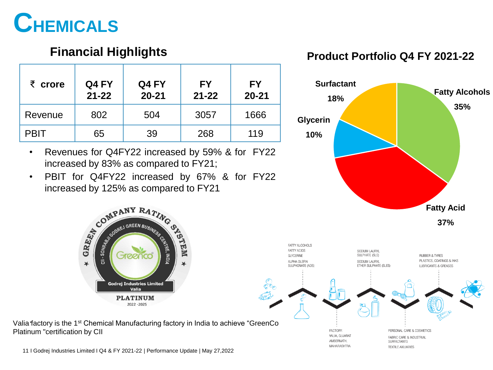

#### **Financial Highlights**

| $\bar{\zeta}$ crore | Q4 FY<br>$21 - 22$ | Q4 FY<br>$20 - 21$ | <b>FY</b><br>$21 - 22$ | <b>FY</b><br>$20 - 21$ |
|---------------------|--------------------|--------------------|------------------------|------------------------|
| Revenue             | 802                | 504                | 3057                   | 1666                   |
| <b>PBIT</b>         | 65                 | 39                 | 268                    | 119                    |

- Revenues for Q4FY22 increased by 59% & for FY22 increased by 83% as compared to FY21;
- PBIT for Q4FY22 increased by 67% & for FY22 increased by 125% as compared to FY21<br>COMPANY RATING OF

MEM





Valia factory is the 1<sup>st</sup> Chemical Manufacturing factory in India to achieve "GreenCo Platinum "certification by CII

**Godrej Industries Limited** Valia **PLATINUM** 2022 - 2025

11 I Godrej Industries Limited I Q4 & FY 2021-22 | Performance Update | May 27,2022

**COMPANY RATITY**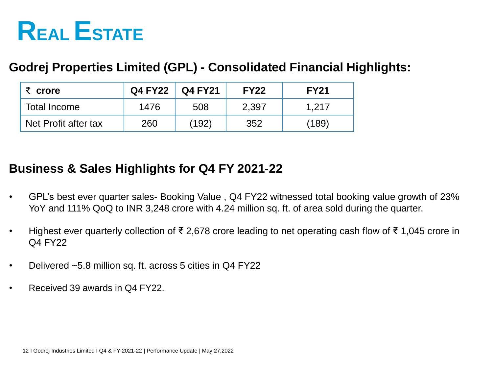

#### **Godrej Properties Limited (GPL) - Consolidated Financial Highlights:**

| र $\epsilon$ crore   | Q4 FY22 | <b>Q4 FY21</b> | <b>FY22</b> | <b>FY21</b> |
|----------------------|---------|----------------|-------------|-------------|
| Total Income         | 1476    | 508            | 2,397       | 1.217       |
| Net Profit after tax | 260     | (192)          | 352         | (189)       |

#### **Business & Sales Highlights for Q4 FY 2021-22**

- GPL's best ever quarter sales- Booking Value , Q4 FY22 witnessed total booking value growth of 23% YoY and 111% QoQ to INR 3,248 crore with 4.24 million sq. ft. of area sold during the quarter.
- Highest ever quarterly collection of ₹ 2,678 crore leading to net operating cash flow of ₹ 1,045 crore in Q4 FY22
- Delivered ~5.8 million sq. ft. across 5 cities in Q4 FY22
- Received 39 awards in Q4 FY22.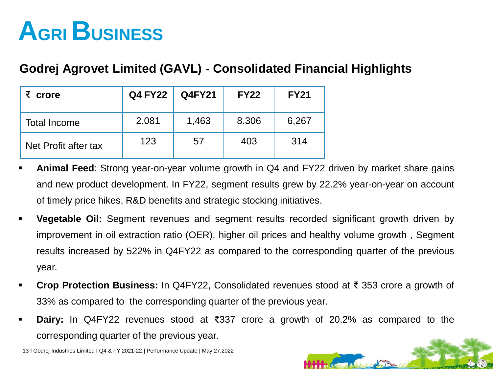# **AGRI BUSINESS**

#### **Godrej Agrovet Limited (GAVL) - Consolidated Financial Highlights**

| crore                | <b>Q4 FY22</b> | <b>Q4FY21</b> | <b>FY22</b> | <b>FY21</b> |
|----------------------|----------------|---------------|-------------|-------------|
| <b>Total Income</b>  | 2,081          | 1,463         | 8.306       | 6,267       |
| Net Profit after tax | 123            | 57            | 403         | 314         |

- **Animal Feed**: Strong year-on-year volume growth in Q4 and FY22 driven by market share gains and new product development. In FY22, segment results grew by 22.2% year-on-year on account of timely price hikes, R&D benefits and strategic stocking initiatives.
- **Vegetable Oil:** Segment revenues and segment results recorded significant growth driven by improvement in oil extraction ratio (OER), higher oil prices and healthy volume growth , Segment results increased by 522% in Q4FY22 as compared to the corresponding quarter of the previous year.
- **Crop Protection Business:** In Q4FY22, Consolidated revenues stood at ₹ 353 crore a growth of 33% as compared to the corresponding quarter of the previous year.
- **Dairy:** In Q4FY22 revenues stood at ₹337 crore a growth of 20.2% as compared to the corresponding quarter of the previous year.

13 I Godrej Industries Limited I Q4 & FY 2021-22 | Performance Update | May 27,2022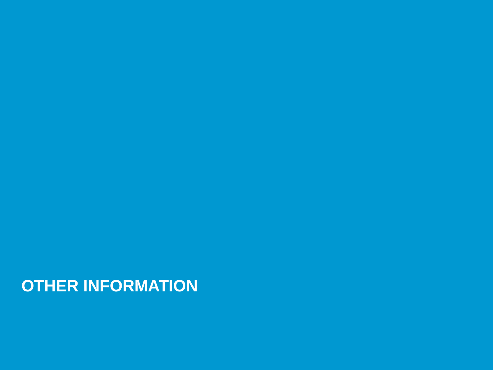**OTHER INFORMATION**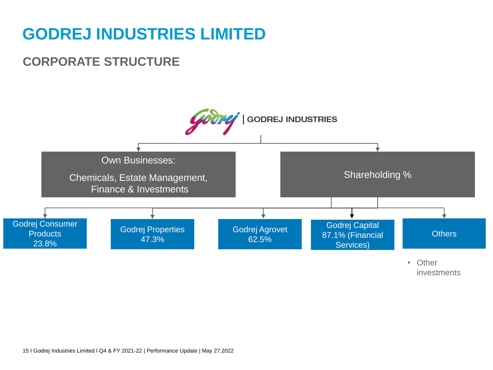## **GODREJ INDUSTRIES LIMITED**

### **CORPORATE STRUCTURE**

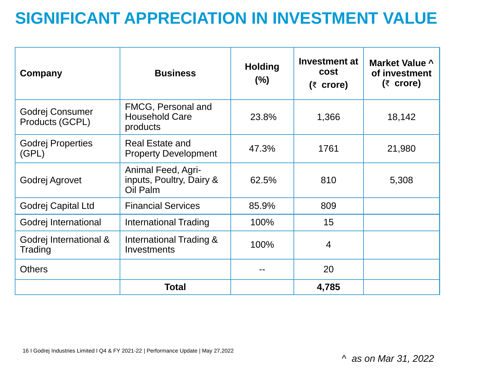## **SIGNIFICANT APPRECIATION IN INVESTMENT VALUE**

| Company                            | <b>Business</b>                                            | <b>Holding</b><br>$(\%)$ | Investment at<br><b>cost</b><br>$(3)$ crore) | Market Value ^<br>of investment<br>$(3)$ crore) |
|------------------------------------|------------------------------------------------------------|--------------------------|----------------------------------------------|-------------------------------------------------|
| Godrej Consumer<br>Products (GCPL) | FMCG, Personal and<br><b>Household Care</b><br>products    | 23.8%                    | 1,366                                        | 18,142                                          |
| <b>Godrej Properties</b><br>(GPL)  | <b>Real Estate and</b><br><b>Property Development</b>      | 47.3%                    | 1761                                         | 21,980                                          |
| Godrej Agrovet                     | Animal Feed, Agri-<br>inputs, Poultry, Dairy &<br>Oil Palm | 62.5%                    | 810                                          | 5,308                                           |
| Godrej Capital Ltd                 | <b>Financial Services</b>                                  | 85.9%                    | 809                                          |                                                 |
| Godrej International               | <b>International Trading</b>                               | 100%                     | 15                                           |                                                 |
| Godrej International &<br>Trading  | International Trading &<br>Investments                     | 100%                     | $\overline{4}$                               |                                                 |
| <b>Others</b>                      |                                                            |                          | 20                                           |                                                 |
|                                    | <b>Total</b>                                               |                          | 4,785                                        |                                                 |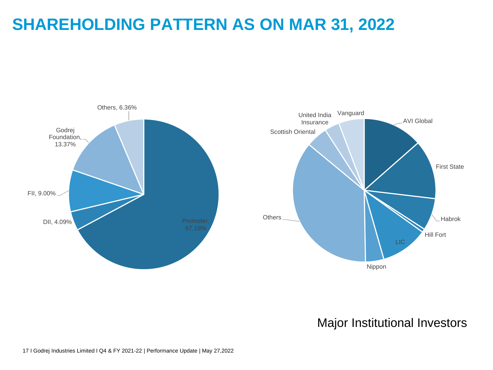## **SHAREHOLDING PATTERN AS ON MAR 31, 2022**



#### Major Institutional Investors